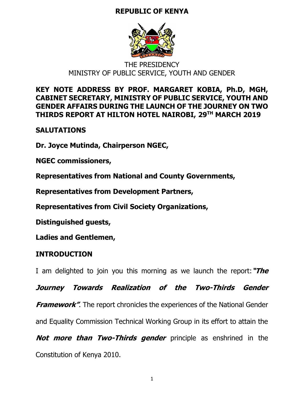# **REPUBLIC OF KENYA**



# THE PRESIDENCY MINISTRY OF PUBLIC SERVICE, YOUTH AND GENDER

# **KEY NOTE ADDRESS BY PROF. MARGARET KOBIA, Ph.D, MGH, CABINET SECRETARY, MINISTRY OF PUBLIC SERVICE, YOUTH AND GENDER AFFAIRS DURING THE LAUNCH OF THE JOURNEY ON TWO THIRDS REPORT AT HILTON HOTEL NAIROBI, 29TH MARCH 2019**

# **SALUTATIONS**

**Dr. Joyce Mutinda, Chairperson NGEC,** 

**NGEC commissioners,**

**Representatives from National and County Governments,**

**Representatives from Development Partners,**

**Representatives from Civil Society Organizations,**

**Distinguished guests,**

**Ladies and Gentlemen,**

# **INTRODUCTION**

I am delighted to join you this morning as we launch the report:**"The** 

**Journey Towards Realization of the Two-Thirds Gender** 

**Framework"**. The report chronicles the experiences of the National Gender

and Equality Commission Technical Working Group in its effort to attain the

**Not more than Two-Thirds gender** principle as enshrined in the Constitution of Kenya 2010.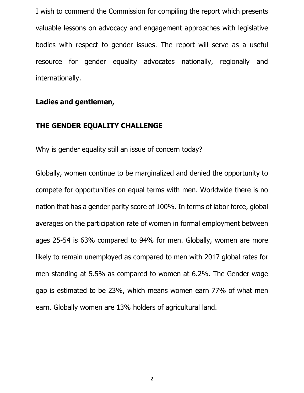I wish to commend the Commission for compiling the report which presents valuable lessons on advocacy and engagement approaches with legislative bodies with respect to gender issues. The report will serve as a useful resource for gender equality advocates nationally, regionally and internationally.

## **Ladies and gentlemen,**

## **THE GENDER EQUALITY CHALLENGE**

Why is gender equality still an issue of concern today?

Globally, women continue to be marginalized and denied the opportunity to compete for opportunities on equal terms with men. Worldwide there is no nation that has a gender parity score of 100%. In terms of labor force, global averages on the participation rate of women in formal employment between ages 25-54 is 63% compared to 94% for men. Globally, women are more likely to remain unemployed as compared to men with 2017 global rates for men standing at 5.5% as compared to women at 6.2%. The Gender wage gap is estimated to be 23%, which means women earn 77% of what men earn. Globally women are 13% holders of agricultural land.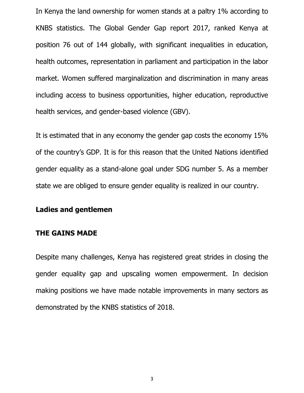In Kenya the land ownership for women stands at a paltry 1% according to KNBS statistics. The Global Gender Gap report 2017, ranked Kenya at position 76 out of 144 globally, with significant inequalities in education, health outcomes, representation in parliament and participation in the labor market. Women suffered marginalization and discrimination in many areas including access to business opportunities, higher education, reproductive health services, and gender-based violence (GBV).

It is estimated that in any economy the gender gap costs the economy 15% of the country's GDP. It is for this reason that the United Nations identified gender equality as a stand-alone goal under SDG number 5. As a member state we are obliged to ensure gender equality is realized in our country.

## **Ladies and gentlemen**

#### **THE GAINS MADE**

Despite many challenges, Kenya has registered great strides in closing the gender equality gap and upscaling women empowerment. In decision making positions we have made notable improvements in many sectors as demonstrated by the KNBS statistics of 2018.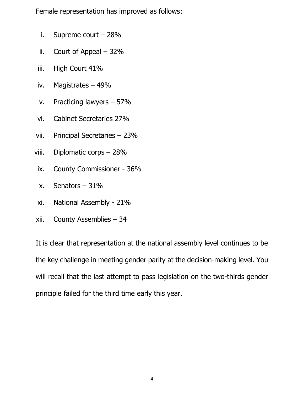Female representation has improved as follows:

- i. Supreme court 28%
- ii. Court of Appeal  $-32%$
- iii. High Court 41%
- iv. Magistrates 49%
- v. Practicing lawyers 57%
- vi. Cabinet Secretaries 27%
- vii. Principal Secretaries 23%
- viii. Diplomatic corps 28%
- ix. County Commissioner 36%
- x. Senators 31%
- xi. National Assembly 21%
- xii. County Assemblies 34

It is clear that representation at the national assembly level continues to be the key challenge in meeting gender parity at the decision-making level. You will recall that the last attempt to pass legislation on the two-thirds gender principle failed for the third time early this year.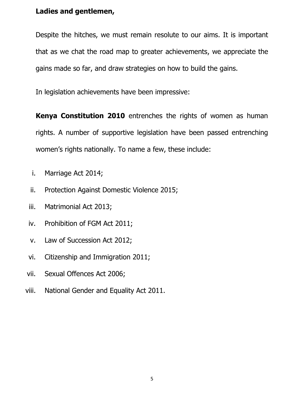## **Ladies and gentlemen,**

Despite the hitches, we must remain resolute to our aims. It is important that as we chat the road map to greater achievements, we appreciate the gains made so far, and draw strategies on how to build the gains.

In legislation achievements have been impressive:

**Kenya Constitution 2010** entrenches the rights of women as human rights. A number of supportive legislation have been passed entrenching women's rights nationally. To name a few, these include:

- i. Marriage Act 2014;
- ii. Protection Against Domestic Violence 2015;
- iii. Matrimonial Act 2013;
- iv. Prohibition of FGM Act 2011;
- v. Law of Succession Act 2012;
- vi. Citizenship and Immigration 2011;
- vii. Sexual Offences Act 2006;
- viii. National Gender and Equality Act 2011.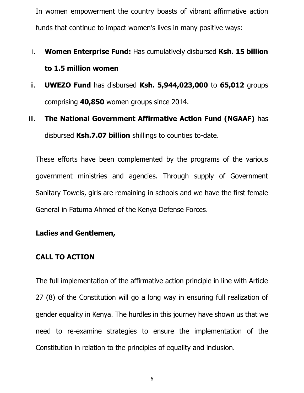In women empowerment the country boasts of vibrant affirmative action funds that continue to impact women's lives in many positive ways:

# i. **Women Enterprise Fund:** Has cumulatively disbursed **Ksh. 15 billion to 1.5 million women**

- ii. **UWEZO Fund** has disbursed **Ksh. 5,944,023,000** to **65,012** groups comprising **40,850** women groups since 2014.
- iii. **The National Government Affirmative Action Fund (NGAAF)** has disbursed **Ksh.7.07 billion** shillings to counties to-date.

These efforts have been complemented by the programs of the various government ministries and agencies. Through supply of Government Sanitary Towels, girls are remaining in schools and we have the first female General in Fatuma Ahmed of the Kenya Defense Forces.

## **Ladies and Gentlemen,**

## **CALL TO ACTION**

The full implementation of the affirmative action principle in line with Article 27 (8) of the Constitution will go a long way in ensuring full realization of gender equality in Kenya. The hurdles in this journey have shown us that we need to re-examine strategies to ensure the implementation of the Constitution in relation to the principles of equality and inclusion.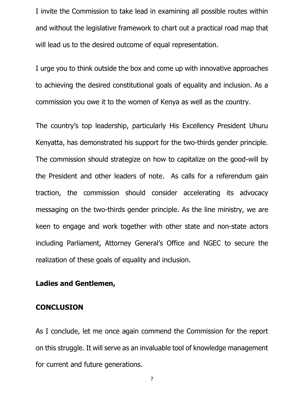I invite the Commission to take lead in examining all possible routes within and without the legislative framework to chart out a practical road map that will lead us to the desired outcome of equal representation.

I urge you to think outside the box and come up with innovative approaches to achieving the desired constitutional goals of equality and inclusion. As a commission you owe it to the women of Kenya as well as the country.

The country's top leadership, particularly His Excellency President Uhuru Kenyatta, has demonstrated his support for the two-thirds gender principle. The commission should strategize on how to capitalize on the good-will by the President and other leaders of note. As calls for a referendum gain traction, the commission should consider accelerating its advocacy messaging on the two-thirds gender principle. As the line ministry, we are keen to engage and work together with other state and non-state actors including Parliament, Attorney General's Office and NGEC to secure the realization of these goals of equality and inclusion.

#### **Ladies and Gentlemen,**

#### **CONCLUSION**

As I conclude, let me once again commend the Commission for the report on this struggle. It will serve as an invaluable tool of knowledge management for current and future generations.

7